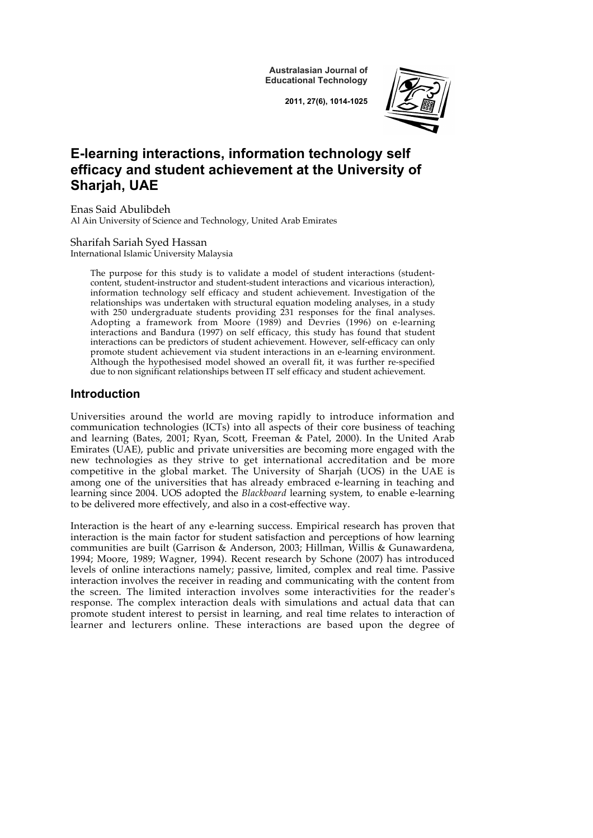**Australasian Journal of Educational Technology**

**2011, 27(6), 1014-1025**



# **E-learning interactions, information technology self efficacy and student achievement at the University of Sharjah, UAE**

Enas Said Abulibdeh Al Ain University of Science and Technology, United Arab Emirates

Sharifah Sariah Syed Hassan International Islamic University Malaysia

> The purpose for this study is to validate a model of student interactions (studentcontent, student-instructor and student-student interactions and vicarious interaction), information technology self efficacy and student achievement. Investigation of the relationships was undertaken with structural equation modeling analyses, in a study with 250 undergraduate students providing 231 responses for the final analyses. Adopting a framework from Moore (1989) and Devries (1996) on e-learning interactions and Bandura (1997) on self efficacy, this study has found that student interactions can be predictors of student achievement. However, self-efficacy can only promote student achievement via student interactions in an e-learning environment. Although the hypothesised model showed an overall fit, it was further re-specified due to non significant relationships between IT self efficacy and student achievement.

## **Introduction**

Universities around the world are moving rapidly to introduce information and communication technologies (ICTs) into all aspects of their core business of teaching and learning (Bates, 2001; Ryan, Scott, Freeman & Patel, 2000). In the United Arab Emirates (UAE), public and private universities are becoming more engaged with the new technologies as they strive to get international accreditation and be more competitive in the global market. The University of Sharjah (UOS) in the UAE is among one of the universities that has already embraced e-learning in teaching and learning since 2004. UOS adopted the *Blackboard* learning system, to enable e-learning to be delivered more effectively, and also in a cost-effective way.

Interaction is the heart of any e-learning success. Empirical research has proven that interaction is the main factor for student satisfaction and perceptions of how learning communities are built (Garrison & Anderson, 2003; Hillman, Willis & Gunawardena, 1994; Moore, 1989; Wagner, 1994). Recent research by Schone (2007) has introduced levels of online interactions namely; passive, limited, complex and real time. Passive interaction involves the receiver in reading and communicating with the content from the screen. The limited interaction involves some interactivities for the reader's response. The complex interaction deals with simulations and actual data that can promote student interest to persist in learning, and real time relates to interaction of learner and lecturers online. These interactions are based upon the degree of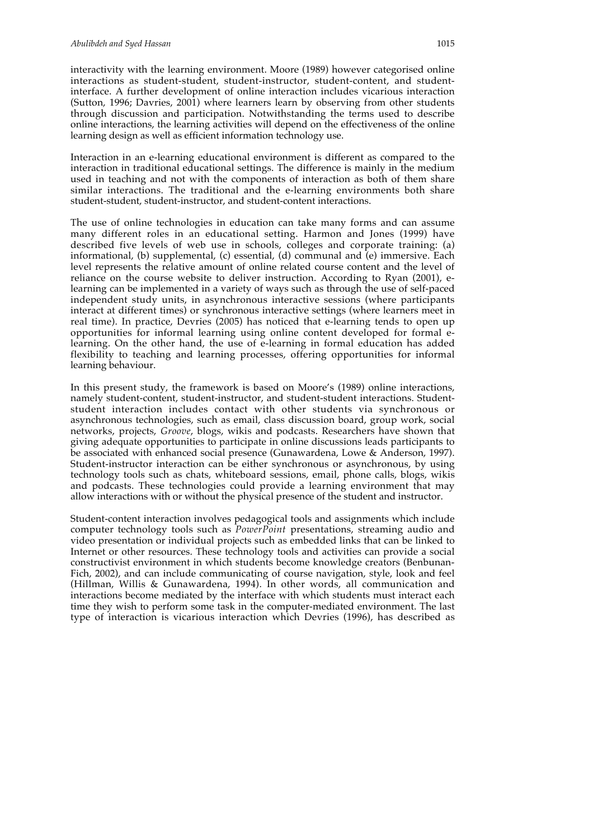interactivity with the learning environment. Moore (1989) however categorised online interactions as student-student, student-instructor, student-content, and studentinterface. A further development of online interaction includes vicarious interaction (Sutton, 1996; Davries, 2001) where learners learn by observing from other students through discussion and participation. Notwithstanding the terms used to describe online interactions, the learning activities will depend on the effectiveness of the online learning design as well as efficient information technology use.

Interaction in an e-learning educational environment is different as compared to the interaction in traditional educational settings. The difference is mainly in the medium used in teaching and not with the components of interaction as both of them share similar interactions. The traditional and the e-learning environments both share student-student, student-instructor, and student-content interactions.

The use of online technologies in education can take many forms and can assume many different roles in an educational setting. Harmon and Jones (1999) have described five levels of web use in schools, colleges and corporate training: (a) informational, (b) supplemental, (c) essential, (d) communal and (e) immersive. Each level represents the relative amount of online related course content and the level of reliance on the course website to deliver instruction. According to Ryan (2001), elearning can be implemented in a variety of ways such as through the use of self-paced independent study units, in asynchronous interactive sessions (where participants interact at different times) or synchronous interactive settings (where learners meet in real time). In practice, Devries (2005) has noticed that e-learning tends to open up opportunities for informal learning using online content developed for formal elearning. On the other hand, the use of e-learning in formal education has added flexibility to teaching and learning processes, offering opportunities for informal learning behaviour.

In this present study, the framework is based on Moore's (1989) online interactions, namely student-content, student-instructor, and student-student interactions. Studentstudent interaction includes contact with other students via synchronous or asynchronous technologies, such as email, class discussion board, group work, social networks, projects, *Groove*, blogs, wikis and podcasts. Researchers have shown that giving adequate opportunities to participate in online discussions leads participants to be associated with enhanced social presence (Gunawardena, Lowe & Anderson, 1997). Student-instructor interaction can be either synchronous or asynchronous, by using technology tools such as chats, whiteboard sessions, email, phone calls, blogs, wikis and podcasts. These technologies could provide a learning environment that may allow interactions with or without the physical presence of the student and instructor.

Student-content interaction involves pedagogical tools and assignments which include computer technology tools such as *PowerPoint* presentations, streaming audio and video presentation or individual projects such as embedded links that can be linked to Internet or other resources. These technology tools and activities can provide a social constructivist environment in which students become knowledge creators (Benbunan-Fich, 2002), and can include communicating of course navigation, style, look and feel (Hillman, Willis & Gunawardena, 1994). In other words, all communication and interactions become mediated by the interface with which students must interact each time they wish to perform some task in the computer-mediated environment. The last type of interaction is vicarious interaction which Devries (1996), has described as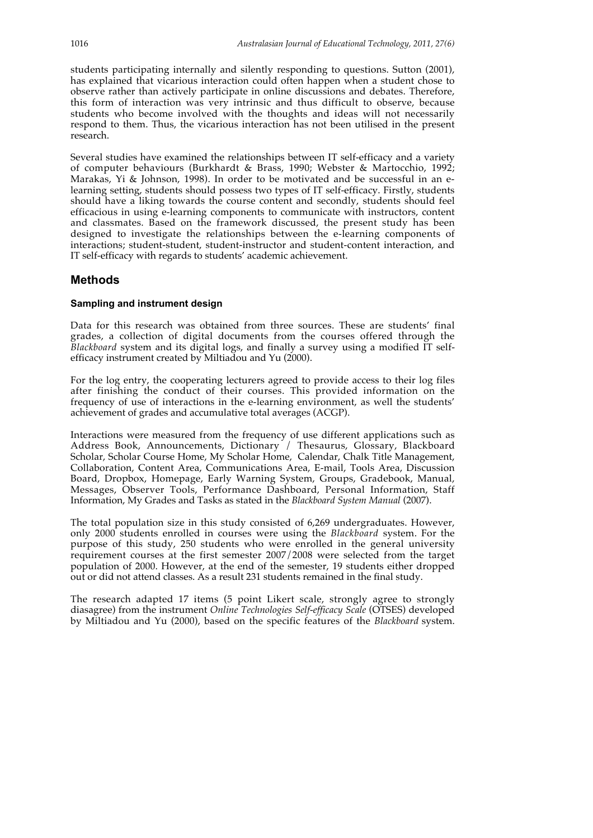students participating internally and silently responding to questions. Sutton (2001), has explained that vicarious interaction could often happen when a student chose to observe rather than actively participate in online discussions and debates. Therefore, this form of interaction was very intrinsic and thus difficult to observe, because students who become involved with the thoughts and ideas will not necessarily respond to them. Thus, the vicarious interaction has not been utilised in the present research.

Several studies have examined the relationships between IT self-efficacy and a variety of computer behaviours (Burkhardt & Brass, 1990; Webster & Martocchio, 1992; Marakas, Yi & Johnson, 1998). In order to be motivated and be successful in an elearning setting, students should possess two types of IT self-efficacy. Firstly, students should have a liking towards the course content and secondly, students should feel efficacious in using e-learning components to communicate with instructors, content and classmates. Based on the framework discussed, the present study has been designed to investigate the relationships between the e-learning components of interactions; student-student, student-instructor and student-content interaction, and IT self-efficacy with regards to students' academic achievement.

## **Methods**

#### **Sampling and instrument design**

Data for this research was obtained from three sources. These are students' final grades, a collection of digital documents from the courses offered through the *Blackboard* system and its digital logs, and finally a survey using a modified IT selfefficacy instrument created by Miltiadou and Yu (2000).

For the log entry, the cooperating lecturers agreed to provide access to their log files after finishing the conduct of their courses. This provided information on the frequency of use of interactions in the e-learning environment, as well the students' achievement of grades and accumulative total averages (ACGP).

Interactions were measured from the frequency of use different applications such as Address Book, Announcements, Dictionary / Thesaurus, Glossary, Blackboard Scholar, Scholar Course Home, My Scholar Home, Calendar, Chalk Title Management, Collaboration, Content Area, Communications Area, E-mail, Tools Area, Discussion Board, Dropbox, Homepage, Early Warning System, Groups, Gradebook, Manual, Messages, Observer Tools, Performance Dashboard, Personal Information, Staff Information, My Grades and Tasks as stated in the *Blackboard System Manual* (2007).

The total population size in this study consisted of 6,269 undergraduates. However, only 2000 students enrolled in courses were using the *Blackboard* system. For the purpose of this study, 250 students who were enrolled in the general university requirement courses at the first semester 2007/2008 were selected from the target population of 2000. However, at the end of the semester, 19 students either dropped out or did not attend classes. As a result 231 students remained in the final study.

The research adapted 17 items (5 point Likert scale, strongly agree to strongly diasagree) from the instrument *Online Technologies Self-efficacy Scale* (OTSES) developed by Miltiadou and Yu (2000), based on the specific features of the *Blackboard* system.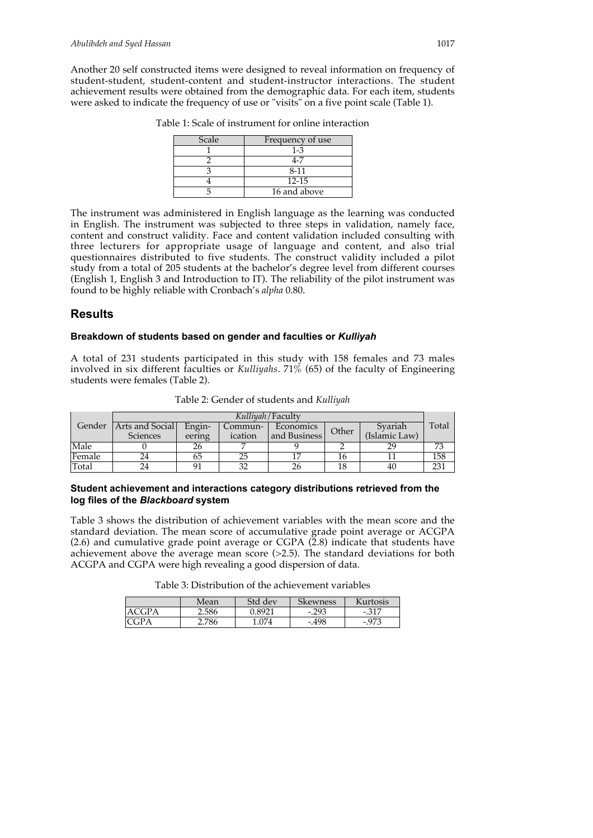Another 20 self constructed items were designed to reveal information on frequency of student-student, student-content and student-instructor interactions. The student achievement results were obtained from the demographic data. For each item, students were asked to indicate the frequency of use or "visits" on a five point scale (Table 1).

| Scale | Frequency of use |
|-------|------------------|
|       | $1 - 3$          |
|       | 4-7              |
|       | 8-11             |
|       | $12 - 15$        |
|       | 16 and above     |

Table 1: Scale of instrument for online interaction

The instrument was administered in English language as the learning was conducted in English. The instrument was subjected to three steps in validation, namely face, content and construct validity. Face and content validation included consulting with three lecturers for appropriate usage of language and content, and also trial questionnaires distributed to five students. The construct validity included a pilot study from a total of 205 students at the bachelor's degree level from different courses (English 1, English 3 and Introduction to IT). The reliability of the pilot instrument was found to be highly reliable with Cronbach's *alpha* 0.80.

## **Results**

## **Breakdown of students based on gender and faculties or** *Kulliyah*

A total of 231 students participated in this study with 158 females and 73 males involved in six different faculties or *Kulliyahs*. 71% (65) of the faculty of Engineering students were females (Table 2).

| Kulliyah / Faculty |                 |        |         |              |       |               |       |
|--------------------|-----------------|--------|---------|--------------|-------|---------------|-------|
| Gender             | Arts and Social | Engin- | Commun- | Economics    | Other | Syariah       | Total |
|                    | Sciences        | eering | ication | and Business |       | (Islamic Law) |       |
| Male               |                 |        |         |              |       |               |       |
| Female             | 24              |        |         |              |       |               | 158   |
| Total              | 24              | О1     | ົ       |              |       | 40            | 231   |

Table 2: Gender of students and *Kulliyah*

## **Student achievement and interactions category distributions retrieved from the log files of the** *Blackboard* **system**

Table 3 shows the distribution of achievement variables with the mean score and the standard deviation. The mean score of accumulative grade point average or ACGPA (2.6) and cumulative grade point average or CGPA (2.8) indicate that students have achievement above the average mean score (>2.5). The standard deviations for both ACGPA and CGPA were high revealing a good dispersion of data.

Table 3: Distribution of the achievement variables

|          | Mean  | Std dev | Skewness | Kurtosis |
|----------|-------|---------|----------|----------|
| ΈA<br>۰. | 2.586 | 18927   | $-.293$  | $-317$   |
|          | 2.786 | 074     | $-.498$  |          |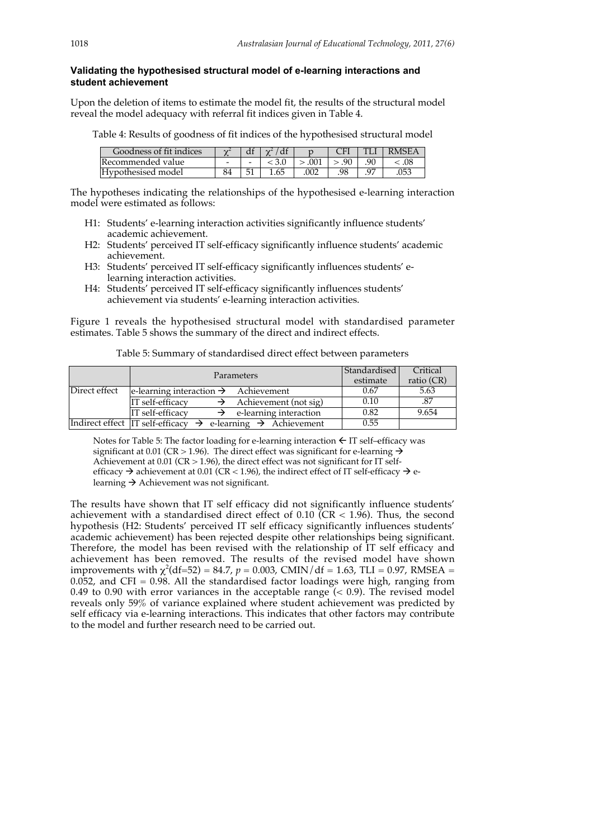#### **Validating the hypothesised structural model of e-learning interactions and student achievement**

Upon the deletion of items to estimate the model fit, the results of the structural model reveal the model adequacy with referral fit indices given in Table 4.

Table 4: Results of goodness of fit indices of the hypothesised structural model

| Goodness of fit indices | $\sim$                   | u                        | $\sim$ |      |     |    | RMSE A     |
|-------------------------|--------------------------|--------------------------|--------|------|-----|----|------------|
| 'Recommended value      | $\overline{\phantom{a}}$ | $\overline{\phantom{0}}$ |        | 001  | 90  | 90 | .ሀչ        |
| Hypothesised model      |                          | 51                       |        | .002 | .98 |    | $05^\circ$ |

The hypotheses indicating the relationships of the hypothesised e-learning interaction model were estimated as follows:

- H1: Students' e-learning interaction activities significantly influence students' academic achievement.
- H2: Students' perceived IT self-efficacy significantly influence students' academic achievement.
- H3: Students' perceived IT self-efficacy significantly influences students' elearning interaction activities.
- H4: Students' perceived IT self-efficacy significantly influences students' achievement via students' e-learning interaction activities.

Figure 1 reveals the hypothesised structural model with standardised parameter estimates. Table 5 shows the summary of the direct and indirect effects.

|               | Parameters                                                                            | Standardised<br>estimate | Critical<br>ratio $(CR)$ |
|---------------|---------------------------------------------------------------------------------------|--------------------------|--------------------------|
| Direct effect | $\leq$ le-learning interaction $\rightarrow$ Achievement                              | 0.67                     | 5.63                     |
|               | IT self-efficacy<br>$\rightarrow$ Achievement (not sig)                               | 0.10                     | .87                      |
|               | IT self-efficacy<br>$\rightarrow$ e-learning interaction                              | 0.82                     | 9.654                    |
|               | Indirect effect $IT$ self-efficacy $\rightarrow$ e-learning $\rightarrow$ Achievement | 0.55                     |                          |

Table 5: Summary of standardised direct effect between parameters

Notes for Table 5: The factor loading for e-learning interaction  $\leftarrow$  IT self–efficacy was significant at 0.01 (CR > 1.96). The direct effect was significant for e-learning  $\rightarrow$ Achievement at  $0.01$  (CR  $> 1.96$ ), the direct effect was not significant for IT selfefficacy  $\rightarrow$  achievement at 0.01 (CR < 1.96), the indirect effect of IT self-efficacy  $\rightarrow$  elearning  $\rightarrow$  Achievement was not significant.

The results have shown that IT self efficacy did not significantly influence students' achievement with a standardised direct effect of 0.10 ( $CR < 1.96$ ). Thus, the second hypothesis (H2: Students' perceived IT self efficacy significantly influences students' academic achievement) has been rejected despite other relationships being significant. Therefore, the model has been revised with the relationship of IT self efficacy and achievement has been removed. The results of the revised model have shown improvements with  $\chi^2$ (df=52) = 84.7, *p* = 0.003, CMIN/df = 1.63, TLI = 0.97, RMSEA = 0.052, and CFI = 0.98. All the standardised factor loadings were high, ranging from 0.49 to 0.90 with error variances in the acceptable range  $( $0.9$ ). The revised model$ reveals only 59% of variance explained where student achievement was predicted by self efficacy via e-learning interactions. This indicates that other factors may contribute to the model and further research need to be carried out.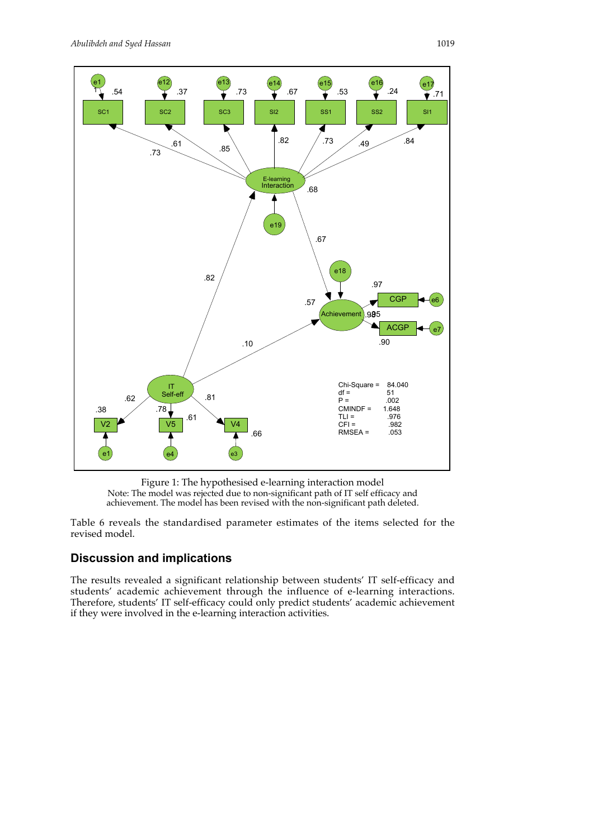

Figure 1: The hypothesised e-learning interaction model Note: The model was rejected due to non-significant path of IT self efficacy and achievement. The model has been revised with the non-significant path deleted.

Table 6 reveals the standardised parameter estimates of the items selected for the revised model.

## **Discussion and implications**

The results revealed a significant relationship between students' IT self-efficacy and students' academic achievement through the influence of e-learning interactions. Therefore, students' IT self-efficacy could only predict students' academic achievement if they were involved in the e-learning interaction activities.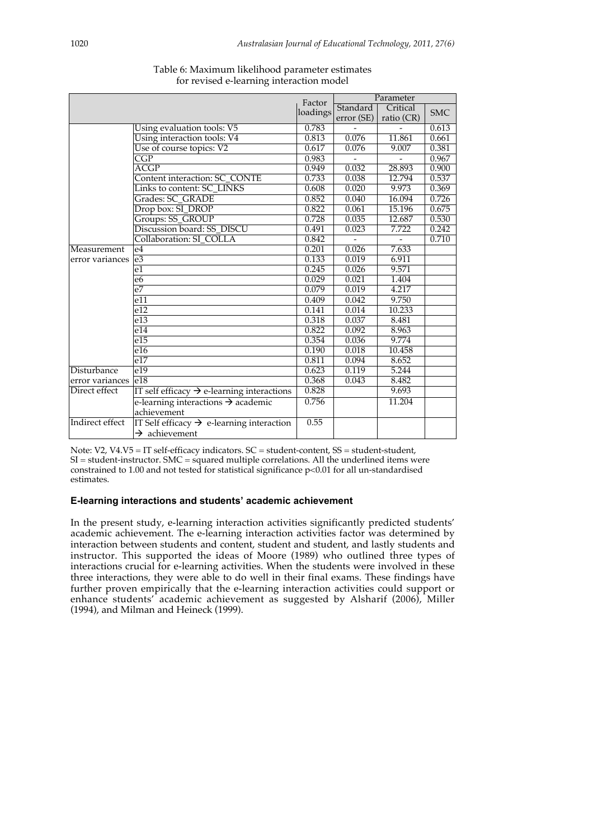|                 |                                                        | Factor   | Parameter  |            |            |
|-----------------|--------------------------------------------------------|----------|------------|------------|------------|
|                 |                                                        | loadings | Standard   | Critical   | <b>SMC</b> |
|                 |                                                        |          | error (SE) | ratio (CR) |            |
|                 | Using evaluation tools: V5                             | 0.783    |            |            | 0.613      |
|                 | Using interaction tools: V4                            | 0.813    | 0.076      | 11.861     | 0.661      |
|                 | Use of course topics: V2                               | 0.617    | 0.076      | 9.007      | 0.381      |
|                 | $\overline{\text{CGP}}$                                | 0.983    |            |            | 0.967      |
|                 | ACGP                                                   | 0.949    | 0.032      | 28.893     | 0.900      |
|                 | Content interaction: SC CONTE                          | 0.733    | 0.038      | 12.794     | 0.537      |
|                 | Links to content: SC_LINKS                             | 0.608    | 0.020      | 9.973      | 0.369      |
|                 | Grades: SC_GRADE                                       | 0.852    | 0.040      | 16.094     | 0.726      |
|                 | Drop box: SI_DROP                                      | 0.822    | 0.061      | 15.196     | 0.675      |
|                 | Groups: SS_GROUP                                       | 0.728    | 0.035      | 12.687     | 0.530      |
|                 | Discussion board: SS_DISCU                             | 0.491    | 0.023      | 7.722      | 0.242      |
|                 | Collaboration: SI COLLA                                | 0.842    |            |            | 0.710      |
| Measurement     | e <sub>4</sub>                                         | 0.201    | 0.026      | 7.633      |            |
| error variances | e <sub>3</sub>                                         | 0.133    | 0.019      | 6.911      |            |
|                 | e1                                                     | 0.245    | 0.026      | 9.571      |            |
|                 | e6                                                     | 0.029    | 0.021      | 1.404      |            |
|                 | e <sub>7</sub>                                         | 0.079    | 0.019      | 4.217      |            |
|                 | e11                                                    | 0.409    | 0.042      | 9.750      |            |
|                 | e12                                                    | 0.141    | 0.014      | 10.233     |            |
|                 | e13                                                    | 0.318    | 0.037      | 8.481      |            |
|                 | e14                                                    | 0.822    | 0.092      | 8.963      |            |
|                 | e15                                                    | 0.354    | 0.036      | 9.774      |            |
|                 | e16                                                    | 0.190    | 0.018      | 10.458     |            |
|                 | e17                                                    | 0.811    | 0.094      | 8.652      |            |
| Disturbance     | e19                                                    | 0.623    | 0.119      | 5.244      |            |
| error variances | e18                                                    | 0.368    | 0.043      | 8.482      |            |
| Direct effect   | IT self efficacy $\rightarrow$ e-learning interactions | 0.828    |            | 9.693      |            |
|                 | e-learning interactions $\rightarrow$ academic         | 0.756    |            | 11.204     |            |
|                 | achievement                                            |          |            |            |            |
| Indirect effect | IT Self efficacy $\rightarrow$ e-learning interaction  | 0.55     |            |            |            |
|                 | $\rightarrow$ achievement                              |          |            |            |            |

## Table 6: Maximum likelihood parameter estimates for revised e-learning interaction model

Note: V2, V4.V5 = IT self-efficacy indicators. SC = student-content, SS = student-student, SI = student-instructor. SMC = squared multiple correlations. All the underlined items were constrained to 1.00 and not tested for statistical significance p<0.01 for all un-standardised estimates.

#### **E-learning interactions and students' academic achievement**

In the present study, e-learning interaction activities significantly predicted students' academic achievement. The e-learning interaction activities factor was determined by interaction between students and content, student and student, and lastly students and instructor. This supported the ideas of Moore (1989) who outlined three types of interactions crucial for e-learning activities. When the students were involved in these three interactions, they were able to do well in their final exams. These findings have further proven empirically that the e-learning interaction activities could support or enhance students' academic achievement as suggested by Alsharif (2006), Miller (1994), and Milman and Heineck (1999).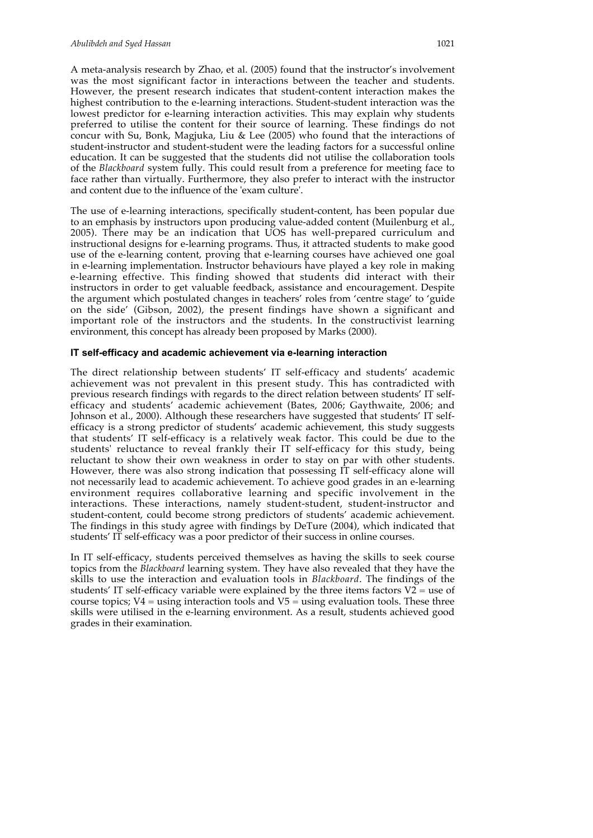A meta-analysis research by Zhao, et al. (2005) found that the instructor's involvement was the most significant factor in interactions between the teacher and students. However, the present research indicates that student-content interaction makes the highest contribution to the e-learning interactions. Student-student interaction was the lowest predictor for e-learning interaction activities. This may explain why students preferred to utilise the content for their source of learning. These findings do not concur with Su, Bonk, Magjuka, Liu & Lee (2005) who found that the interactions of student-instructor and student-student were the leading factors for a successful online education. It can be suggested that the students did not utilise the collaboration tools of the *Blackboard* system fully. This could result from a preference for meeting face to face rather than virtually. Furthermore, they also prefer to interact with the instructor and content due to the influence of the 'exam culture'.

The use of e-learning interactions, specifically student-content, has been popular due to an emphasis by instructors upon producing value-added content (Muilenburg et al., 2005). There may be an indication that UOS has well-prepared curriculum and instructional designs for e-learning programs. Thus, it attracted students to make good use of the e-learning content, proving that e-learning courses have achieved one goal in e-learning implementation. Instructor behaviours have played a key role in making e-learning effective. This finding showed that students did interact with their instructors in order to get valuable feedback, assistance and encouragement. Despite the argument which postulated changes in teachers' roles from 'centre stage' to 'guide on the side' (Gibson, 2002), the present findings have shown a significant and important role of the instructors and the students. In the constructivist learning environment, this concept has already been proposed by Marks (2000).

#### **IT self-efficacy and academic achievement via e-learning interaction**

The direct relationship between students' IT self-efficacy and students' academic achievement was not prevalent in this present study. This has contradicted with previous research findings with regards to the direct relation between students' IT selfefficacy and students' academic achievement (Bates, 2006; Gaythwaite, 2006; and Johnson et al., 2000). Although these researchers have suggested that students' IT selfefficacy is a strong predictor of students' academic achievement, this study suggests that students' IT self-efficacy is a relatively weak factor. This could be due to the students' reluctance to reveal frankly their IT self-efficacy for this study, being reluctant to show their own weakness in order to stay on par with other students. However, there was also strong indication that possessing IT self-efficacy alone will not necessarily lead to academic achievement. To achieve good grades in an e-learning environment requires collaborative learning and specific involvement in the interactions. These interactions, namely student-student, student-instructor and student-content, could become strong predictors of students' academic achievement. The findings in this study agree with findings by DeTure (2004), which indicated that students' IT self-efficacy was a poor predictor of their success in online courses.

In IT self-efficacy, students perceived themselves as having the skills to seek course topics from the *Blackboard* learning system. They have also revealed that they have the skills to use the interaction and evaluation tools in *Blackboard*. The findings of the students' IT self-efficacy variable were explained by the three items factors  $V2$  = use of course topics;  $V4 = \text{using interaction tools}$  and  $V5 = \text{using evaluation tools}$ . These three skills were utilised in the e-learning environment. As a result, students achieved good grades in their examination.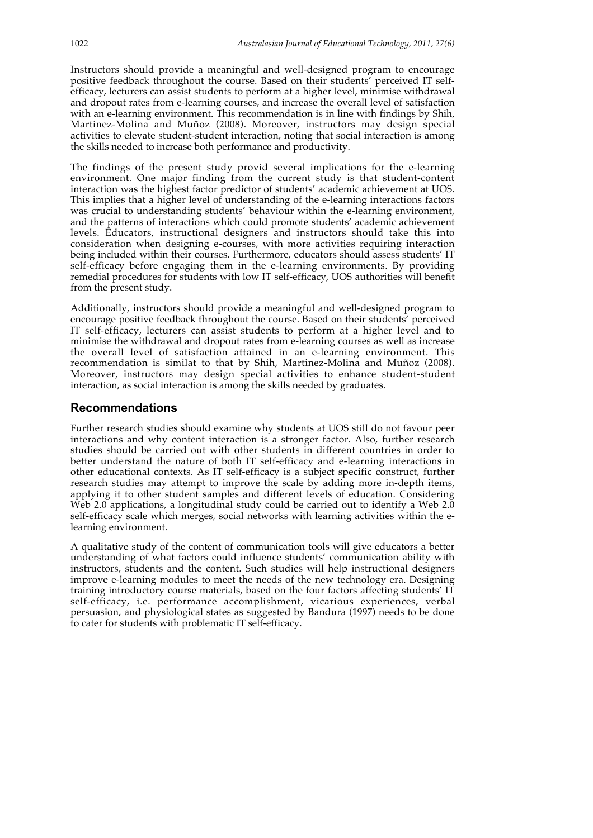Instructors should provide a meaningful and well-designed program to encourage positive feedback throughout the course. Based on their students' perceived IT selfefficacy, lecturers can assist students to perform at a higher level, minimise withdrawal and dropout rates from e-learning courses, and increase the overall level of satisfaction with an e-learning environment. This recommendation is in line with findings by Shih, Martinez-Molina and Muñoz (2008). Moreover, instructors may design special activities to elevate student-student interaction, noting that social interaction is among the skills needed to increase both performance and productivity.

The findings of the present study provid several implications for the e-learning environment. One major finding from the current study is that student-content interaction was the highest factor predictor of students' academic achievement at UOS. This implies that a higher level of understanding of the e-learning interactions factors was crucial to understanding students' behaviour within the e-learning environment, and the patterns of interactions which could promote students' academic achievement levels. Educators, instructional designers and instructors should take this into consideration when designing e-courses, with more activities requiring interaction being included within their courses. Furthermore, educators should assess students' IT self-efficacy before engaging them in the e-learning environments. By providing remedial procedures for students with low IT self-efficacy, UOS authorities will benefit from the present study.

Additionally, instructors should provide a meaningful and well-designed program to encourage positive feedback throughout the course. Based on their students' perceived IT self-efficacy, lecturers can assist students to perform at a higher level and to minimise the withdrawal and dropout rates from e-learning courses as well as increase the overall level of satisfaction attained in an e-learning environment. This recommendation is similat to that by Shih, Martinez-Molina and Muñoz (2008). Moreover, instructors may design special activities to enhance student-student interaction, as social interaction is among the skills needed by graduates.

## **Recommendations**

Further research studies should examine why students at UOS still do not favour peer interactions and why content interaction is a stronger factor. Also, further research studies should be carried out with other students in different countries in order to better understand the nature of both IT self-efficacy and e-learning interactions in other educational contexts. As IT self-efficacy is a subject specific construct, further research studies may attempt to improve the scale by adding more in-depth items, applying it to other student samples and different levels of education. Considering Web 2.0 applications, a longitudinal study could be carried out to identify a Web 2.0 self-efficacy scale which merges, social networks with learning activities within the elearning environment.

A qualitative study of the content of communication tools will give educators a better understanding of what factors could influence students' communication ability with instructors, students and the content. Such studies will help instructional designers improve e-learning modules to meet the needs of the new technology era. Designing training introductory course materials, based on the four factors affecting students' IT self-efficacy, i.e. performance accomplishment, vicarious experiences, verbal persuasion, and physiological states as suggested by Bandura (1997) needs to be done to cater for students with problematic IT self-efficacy.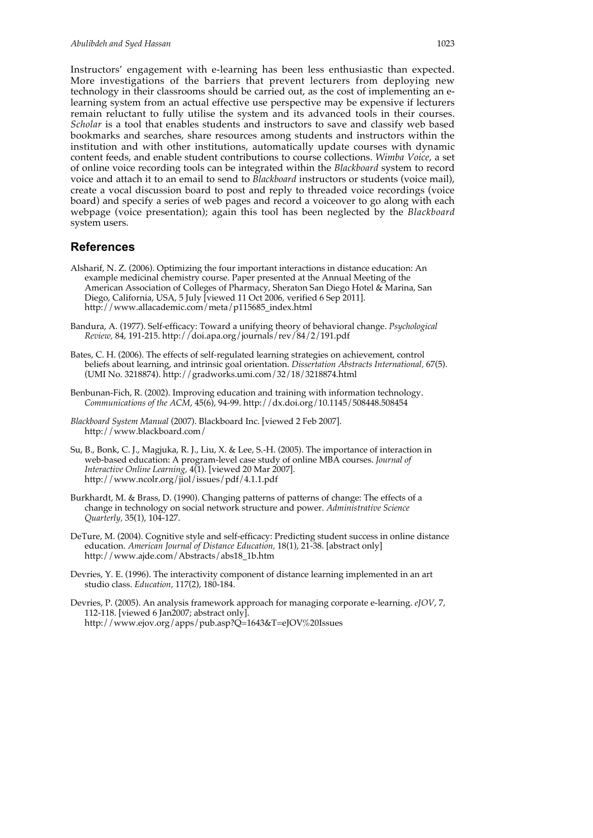Instructors' engagement with e-learning has been less enthusiastic than expected. More investigations of the barriers that prevent lecturers from deploying new technology in their classrooms should be carried out, as the cost of implementing an elearning system from an actual effective use perspective may be expensive if lecturers remain reluctant to fully utilise the system and its advanced tools in their courses. *Scholar* is a tool that enables students and instructors to save and classify web based bookmarks and searches, share resources among students and instructors within the institution and with other institutions, automatically update courses with dynamic content feeds, and enable student contributions to course collections. *Wimba Voice*, a set of online voice recording tools can be integrated within the *Blackboard* system to record voice and attach it to an email to send to *Blackboard* instructors or students (voice mail), create a vocal discussion board to post and reply to threaded voice recordings (voice board) and specify a series of web pages and record a voiceover to go along with each webpage (voice presentation); again this tool has been neglected by the *Blackboard* system users.

## **References**

- Alsharif, N. Z. (2006). Optimizing the four important interactions in distance education: An example medicinal chemistry course. Paper presented at the Annual Meeting of the American Association of Colleges of Pharmacy, Sheraton San Diego Hotel & Marina, San Diego, California, USA, 5 July [viewed 11 Oct 2006, verified 6 Sep 2011]. http://www.allacademic.com/meta/p115685\_index.html
- Bandura, A. (1977). Self-efficacy: Toward a unifying theory of behavioral change. *Psychological Review,* 84, 191-215. http://doi.apa.org/journals/rev/84/2/191.pdf
- Bates, C. H. (2006). The effects of self-regulated learning strategies on achievement, control beliefs about learning, and intrinsic goal orientation. *Dissertation Abstracts International,* 67(5). (UMI No. 3218874). http://gradworks.umi.com/32/18/3218874.html
- Benbunan-Fich, R. (2002). Improving education and training with information technology. *Communications of the ACM*, 45(6), 94-99. http://dx.doi.org/10.1145/508448.508454
- *Blackboard System Manual* (2007). Blackboard Inc. [viewed 2 Feb 2007]. http://www.blackboard.com/
- Su, B., Bonk, C. J., Magjuka, R. J., Liu, X. & Lee, S.-H. (2005). The importance of interaction in web-based education: A program-level case study of online MBA courses. *Journal of Interactive Online Learning,* 4(1). [viewed 20 Mar 2007]. http://www.ncolr.org/jiol/issues/pdf/4.1.1.pdf
- Burkhardt, M. & Brass, D. (1990). Changing patterns of patterns of change: The effects of a change in technology on social network structure and power. *Administrative Science Quarterly,* 35(1), 104-127.
- DeTure, M. (2004). Cognitive style and self-efficacy: Predicting student success in online distance education. *American Journal of Distance Education,* 18(1), 21-38. [abstract only] http://www.ajde.com/Abstracts/abs18\_1b.htm
- Devries, Y. E. (1996). The interactivity component of distance learning implemented in an art studio class. *Education,* 117(2), 180-184.
- Devries, P. (2005). An analysis framework approach for managing corporate e-learning. *eJOV*, 7, 112-118. [viewed 6 Jan2007; abstract only]. http://www.ejov.org/apps/pub.asp?Q=1643&T=eJOV%20Issues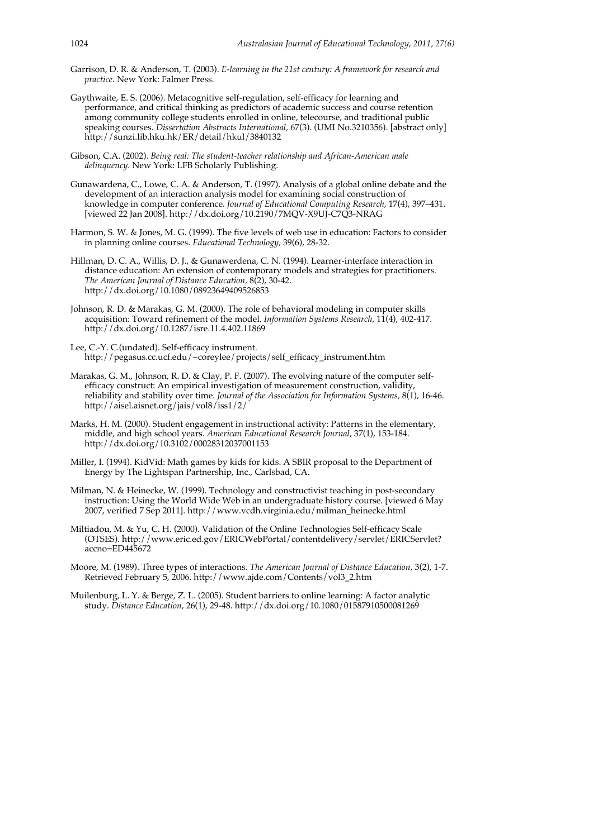- Garrison, D. R. & Anderson, T. (2003). *E-learning in the 21st century: A framework for research and practice*. New York: Falmer Press.
- Gaythwaite, E. S. (2006). Metacognitive self-regulation, self-efficacy for learning and performance, and critical thinking as predictors of academic success and course retention among community college students enrolled in online, telecourse, and traditional public speaking courses. *Dissertation Abstracts International,* 67(3). (UMI No.3210356). [abstract only] http://sunzi.lib.hku.hk/ER/detail/hkul/3840132
- Gibson, C.A. (2002). *Being real: The student-teacher relationship and African-American male delinquency*. New York: LFB Scholarly Publishing.
- Gunawardena, C., Lowe, C. A. & Anderson, T. (1997). Analysis of a global online debate and the development of an interaction analysis model for examining social construction of knowledge in computer conference. *Journal of Educational Computing Research,* 17(4), 397–431. [viewed 22 Jan 2008]. http://dx.doi.org/10.2190/7MQV-X9UJ-C7Q3-NRAG
- Harmon, S. W. & Jones, M. G. (1999). The five levels of web use in education: Factors to consider in planning online courses. *Educational Technology,* 39(6), 28-32.
- Hillman, D. C. A., Willis, D. J., & Gunawerdena, C. N. (1994). Learner-interface interaction in distance education: An extension of contemporary models and strategies for practitioners*. The American Journal of Distance Education,* 8(2), 30-42. http://dx.doi.org/10.1080/08923649409526853
- Johnson, R. D. & Marakas, G. M. (2000). The role of behavioral modeling in computer skills acquisition: Toward refinement of the model. *Information Systems Research,* 11(4), 402-417. http://dx.doi.org/10.1287/isre.11.4.402.11869
- Lee, C.-Y. C.(undated). Self-efficacy instrument. http://pegasus.cc.ucf.edu/~coreylee/projects/self\_efficacy\_instrument.htm
- Marakas, G. M., Johnson, R. D. & Clay, P. F. (2007). The evolving nature of the computer selfefficacy construct: An empirical investigation of measurement construction, validity, reliability and stability over time. *Journal of the Association for Information Systems,* 8(1), 16-46. http://aisel.aisnet.org/jais/vol8/iss1/2/
- Marks, H. M. (2000). Student engagement in instructional activity: Patterns in the elementary, middle, and high school years. *American Educational Research Journal*, 37(1), 153-184. http://dx.doi.org/10.3102/00028312037001153
- Miller, I. (1994). KidVid: Math games by kids for kids. A SBIR proposal to the Department of Energy by The Lightspan Partnership, Inc., Carlsbad, CA.
- Milman, N. & Heinecke, W. (1999). Technology and constructivist teaching in post-secondary instruction: Using the World Wide Web in an undergraduate history course. [viewed 6 May 2007, verified 7 Sep 2011]. http://www.vcdh.virginia.edu/milman\_heinecke.html
- Miltiadou, M. & Yu, C. H. (2000). Validation of the Online Technologies Self-efficacy Scale (OTSES). http://www.eric.ed.gov/ERICWebPortal/contentdelivery/servlet/ERICServlet? accno=ED445672
- Moore, M. (1989). Three types of interactions. *The American Journal of Distance Education,* 3(2), 1-7. Retrieved February 5, 2006. http://www.ajde.com/Contents/vol3\_2.htm
- Muilenburg, L. Y. & Berge, Z. L. (2005). Student barriers to online learning: A factor analytic study. *Distance Education*, 26(1), 29-48. http://dx.doi.org/10.1080/01587910500081269